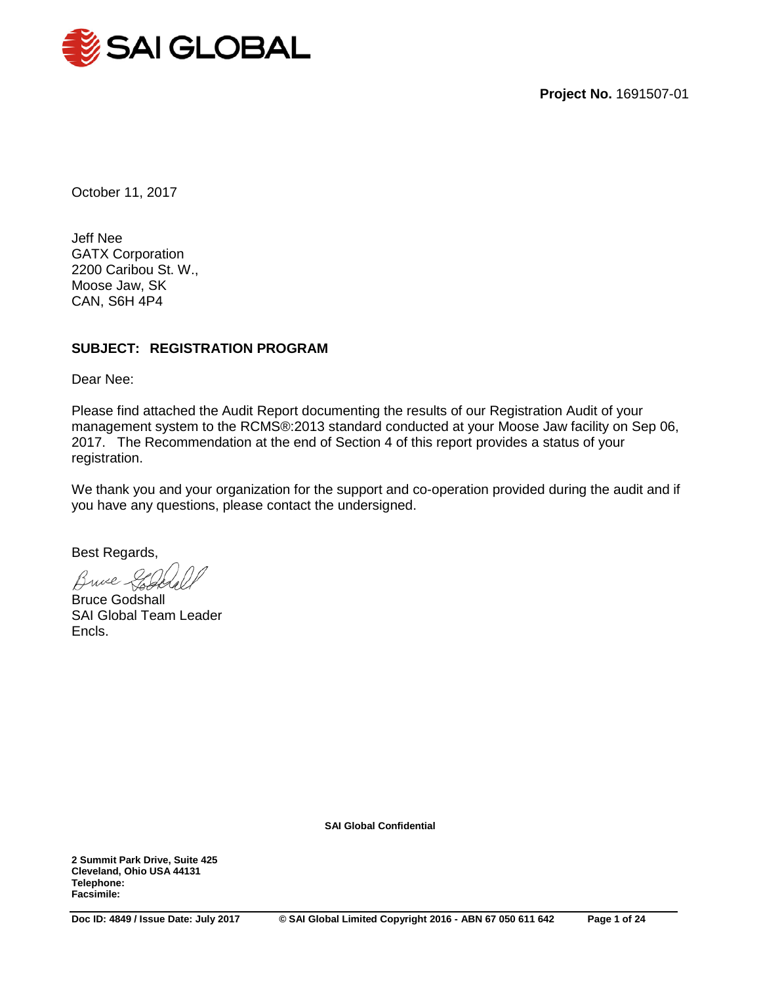

**Project No.** 1691507-01

October 11, 2017

Jeff Nee GATX Corporation 2200 Caribou St. W., Moose Jaw, SK CAN, S6H 4P4

## **SUBJECT: REGISTRATION PROGRAM**

Dear Nee:

Please find attached the Audit Report documenting the results of our Registration Audit of your management system to the RCMS®:2013 standard conducted at your Moose Jaw facility on Sep 06, 2017. The Recommendation at the end of Section 4 of this report provides a status of your registration.

We thank you and your organization for the support and co-operation provided during the audit and if you have any questions, please contact the undersigned.

Best Regards,

Bruce

Bruce Godshall SAI Global Team Leader Encls.

**SAI Global Confidential**

**2 Summit Park Drive, Suite 425 Cleveland, Ohio USA 44131 Telephone: Facsimile:**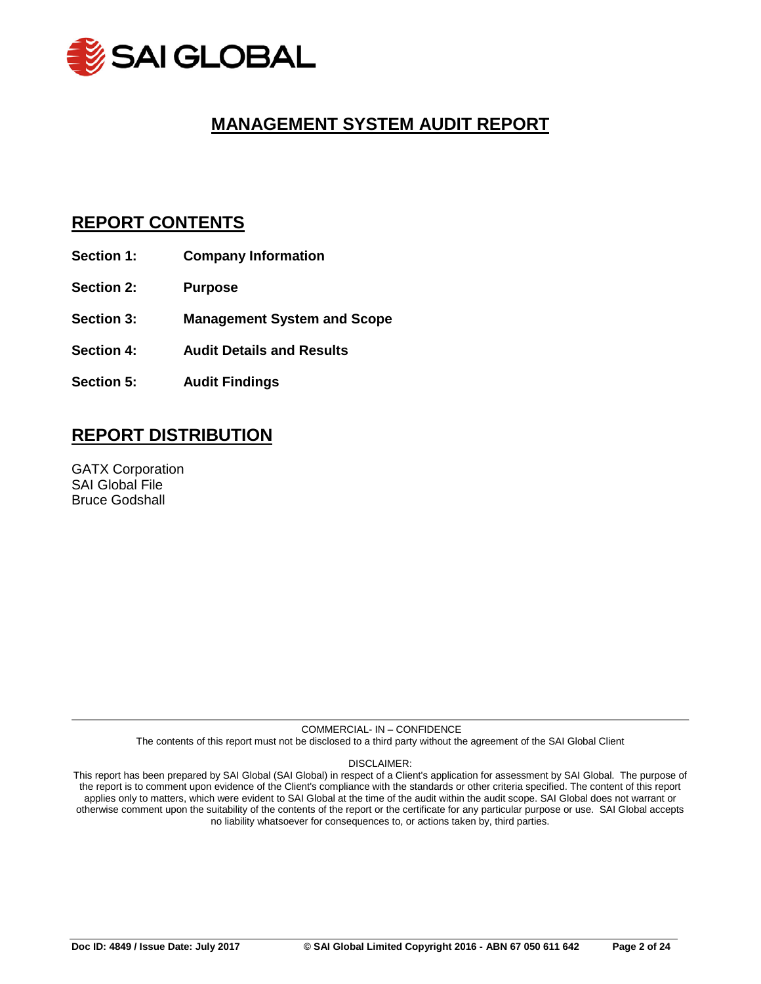

# **MANAGEMENT SYSTEM AUDIT REPORT**

## **REPORT CONTENTS**

- **Section 1: Company Information**
- **Section 2: Purpose**
- **Section 3: Management System and Scope**
- **Section 4: Audit Details and Results**
- **Section 5: Audit Findings**

# **REPORT DISTRIBUTION**

GATX Corporation SAI Global File Bruce Godshall

> COMMERCIAL- IN – CONFIDENCE The contents of this report must not be disclosed to a third party without the agreement of the SAI Global Client

> > DISCLAIMER:

This report has been prepared by SAI Global (SAI Global) in respect of a Client's application for assessment by SAI Global. The purpose of the report is to comment upon evidence of the Client's compliance with the standards or other criteria specified. The content of this report applies only to matters, which were evident to SAI Global at the time of the audit within the audit scope. SAI Global does not warrant or otherwise comment upon the suitability of the contents of the report or the certificate for any particular purpose or use. SAI Global accepts no liability whatsoever for consequences to, or actions taken by, third parties.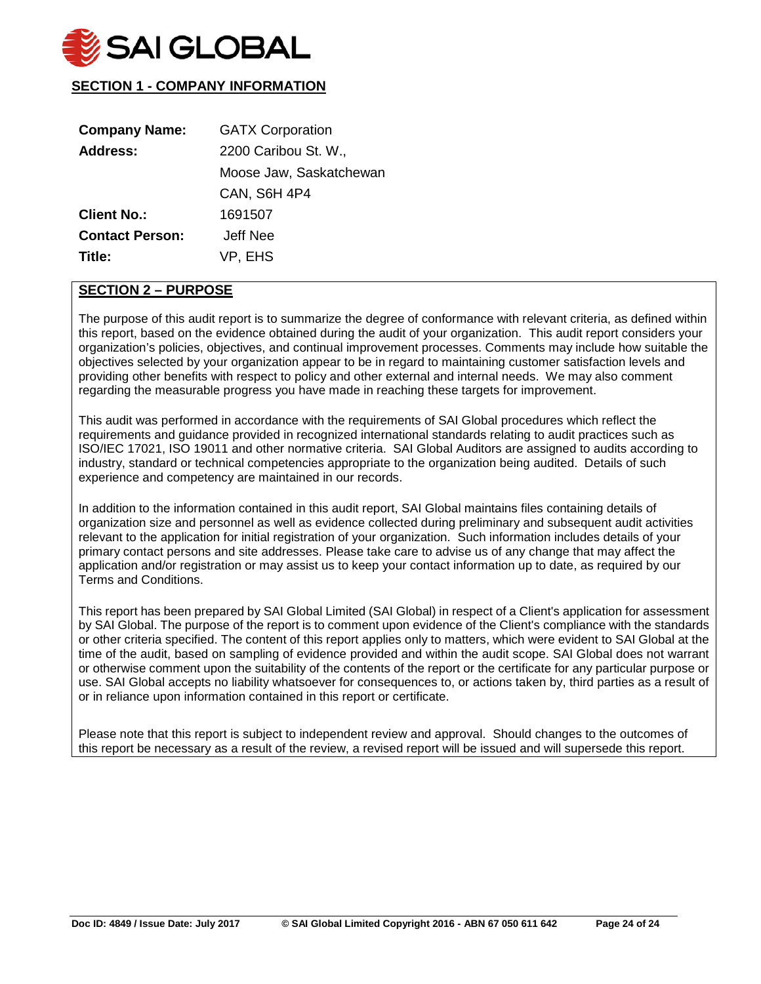

## **SECTION 1 - COMPANY INFORMATION**

| <b>Company Name:</b>   | <b>GATX Corporation</b> |
|------------------------|-------------------------|
| <b>Address:</b>        | 2200 Caribou St. W.,    |
|                        | Moose Jaw, Saskatchewan |
|                        | <b>CAN, S6H 4P4</b>     |
| <b>Client No.:</b>     | 1691507                 |
| <b>Contact Person:</b> | Jeff Nee                |
| Title:                 | VP, EHS                 |

## **SECTION 2 – PURPOSE**

The purpose of this audit report is to summarize the degree of conformance with relevant criteria, as defined within this report, based on the evidence obtained during the audit of your organization. This audit report considers your organization's policies, objectives, and continual improvement processes. Comments may include how suitable the objectives selected by your organization appear to be in regard to maintaining customer satisfaction levels and providing other benefits with respect to policy and other external and internal needs. We may also comment regarding the measurable progress you have made in reaching these targets for improvement.

This audit was performed in accordance with the requirements of SAI Global procedures which reflect the requirements and guidance provided in recognized international standards relating to audit practices such as ISO/IEC 17021, ISO 19011 and other normative criteria. SAI Global Auditors are assigned to audits according to industry, standard or technical competencies appropriate to the organization being audited. Details of such experience and competency are maintained in our records.

In addition to the information contained in this audit report, SAI Global maintains files containing details of organization size and personnel as well as evidence collected during preliminary and subsequent audit activities relevant to the application for initial registration of your organization. Such information includes details of your primary contact persons and site addresses. Please take care to advise us of any change that may affect the application and/or registration or may assist us to keep your contact information up to date, as required by our Terms and Conditions.

This report has been prepared by SAI Global Limited (SAI Global) in respect of a Client's application for assessment by SAI Global. The purpose of the report is to comment upon evidence of the Client's compliance with the standards or other criteria specified. The content of this report applies only to matters, which were evident to SAI Global at the time of the audit, based on sampling of evidence provided and within the audit scope. SAI Global does not warrant or otherwise comment upon the suitability of the contents of the report or the certificate for any particular purpose or use. SAI Global accepts no liability whatsoever for consequences to, or actions taken by, third parties as a result of or in reliance upon information contained in this report or certificate.

Please note that this report is subject to independent review and approval. Should changes to the outcomes of this report be necessary as a result of the review, a revised report will be issued and will supersede this report.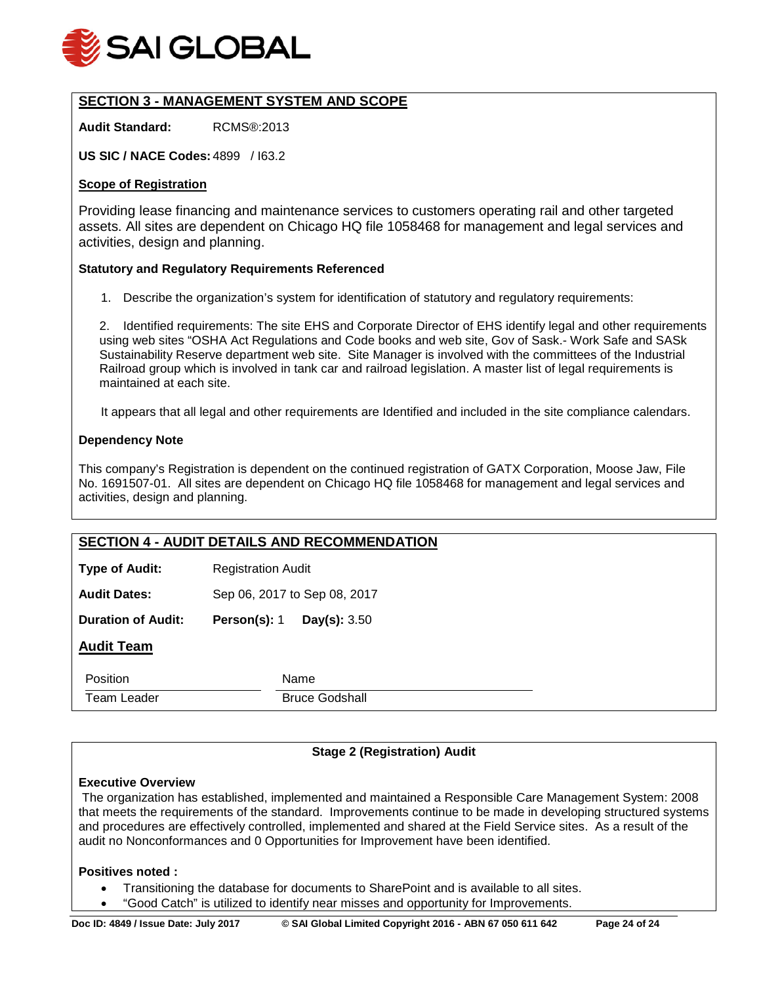

## **SECTION 3 - MANAGEMENT SYSTEM AND SCOPE**

**Audit Standard:** RCMS®:2013

**US SIC / NACE Codes:** 4899 / I63.2

## **Scope of Registration**

Providing lease financing and maintenance services to customers operating rail and other targeted assets. All sites are dependent on Chicago HQ file 1058468 for management and legal services and activities, design and planning.

#### **Statutory and Regulatory Requirements Referenced**

1. Describe the organization's system for identification of statutory and regulatory requirements:

2. Identified requirements: The site EHS and Corporate Director of EHS identify legal and other requirements using web sites "OSHA Act Regulations and Code books and web site, Gov of Sask.- Work Safe and SASk Sustainability Reserve department web site. Site Manager is involved with the committees of the Industrial Railroad group which is involved in tank car and railroad legislation. A master list of legal requirements is maintained at each site.

It appears that all legal and other requirements are Identified and included in the site compliance calendars.

## **Dependency Note**

This company's Registration is dependent on the continued registration of GATX Corporation, Moose Jaw, File No. 1691507-01. All sites are dependent on Chicago HQ file 1058468 for management and legal services and activities, design and planning.

|                           | <b>SECTION 4 - AUDIT DETAILS AND RECOMMENDATION</b> |
|---------------------------|-----------------------------------------------------|
| <b>Type of Audit:</b>     | <b>Registration Audit</b>                           |
| <b>Audit Dates:</b>       | Sep 06, 2017 to Sep 08, 2017                        |
| <b>Duration of Audit:</b> | Person(s): 1<br>Day(s): 3.50                        |
| <b>Audit Team</b>         |                                                     |
| Position                  | Name                                                |
| Team Leader               | <b>Bruce Godshall</b>                               |

## **Stage 2 (Registration) Audit**

#### **Executive Overview**

The organization has established, implemented and maintained a Responsible Care Management System: 2008 that meets the requirements of the standard. Improvements continue to be made in developing structured systems and procedures are effectively controlled, implemented and shared at the Field Service sites. As a result of the audit no Nonconformances and 0 Opportunities for Improvement have been identified.

#### **Positives noted :**

- Transitioning the database for documents to SharePoint and is available to all sites.
- "Good Catch" is utilized to identify near misses and opportunity for Improvements.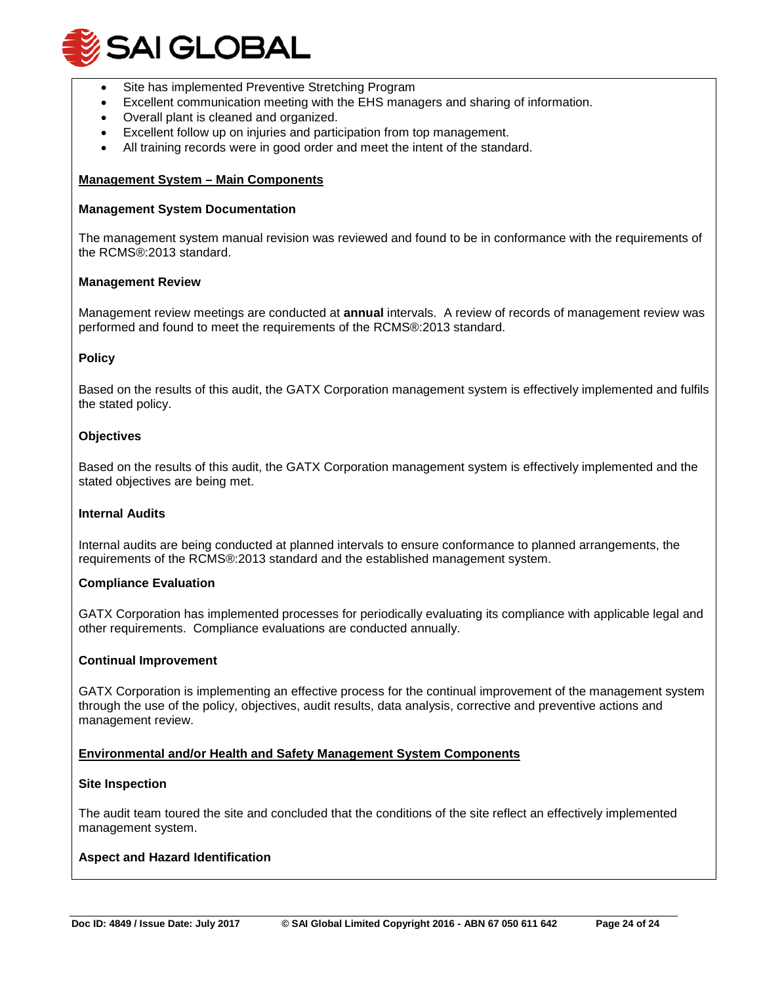

- Site has implemented Preventive Stretching Program
- Excellent communication meeting with the EHS managers and sharing of information.
- Overall plant is cleaned and organized.
- Excellent follow up on injuries and participation from top management.
- All training records were in good order and meet the intent of the standard.

#### **Management System – Main Components**

#### **Management System Documentation**

The management system manual revision was reviewed and found to be in conformance with the requirements of the RCMS®:2013 standard.

#### **Management Review**

Management review meetings are conducted at **annual** intervals. A review of records of management review was performed and found to meet the requirements of the RCMS®:2013 standard.

#### **Policy**

Based on the results of this audit, the GATX Corporation management system is effectively implemented and fulfils the stated policy.

#### **Objectives**

Based on the results of this audit, the GATX Corporation management system is effectively implemented and the stated objectives are being met.

#### **Internal Audits**

Internal audits are being conducted at planned intervals to ensure conformance to planned arrangements, the requirements of the RCMS®:2013 standard and the established management system.

#### **Compliance Evaluation**

GATX Corporation has implemented processes for periodically evaluating its compliance with applicable legal and other requirements. Compliance evaluations are conducted annually.

#### **Continual Improvement**

GATX Corporation is implementing an effective process for the continual improvement of the management system through the use of the policy, objectives, audit results, data analysis, corrective and preventive actions and management review.

#### **Environmental and/or Health and Safety Management System Components**

#### **Site Inspection**

The audit team toured the site and concluded that the conditions of the site reflect an effectively implemented management system.

#### **Aspect and Hazard Identification**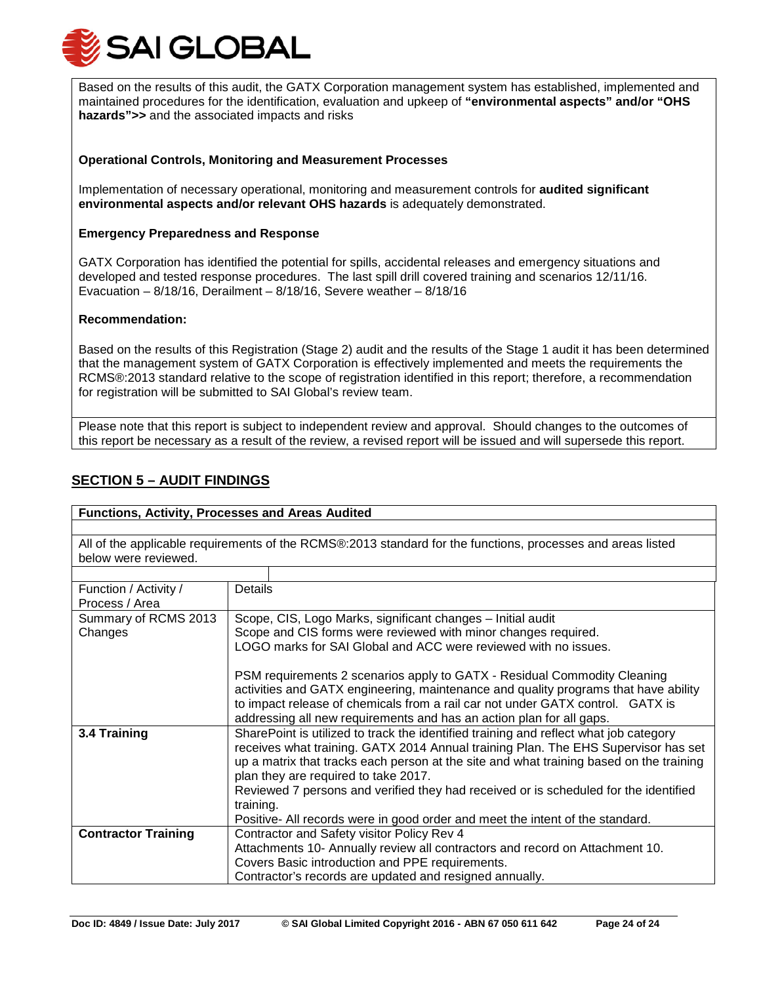

Based on the results of this audit, the GATX Corporation management system has established, implemented and maintained procedures for the identification, evaluation and upkeep of **"environmental aspects" and/or "OHS hazards">>** and the associated impacts and risks

## **Operational Controls, Monitoring and Measurement Processes**

Implementation of necessary operational, monitoring and measurement controls for **audited significant environmental aspects and/or relevant OHS hazards** is adequately demonstrated.

#### **Emergency Preparedness and Response**

GATX Corporation has identified the potential for spills, accidental releases and emergency situations and developed and tested response procedures. The last spill drill covered training and scenarios 12/11/16. Evacuation –  $8/18/16$ , Derailment –  $8/18/16$ , Severe weather –  $8/18/16$ 

#### **Recommendation:**

Based on the results of this Registration (Stage 2) audit and the results of the Stage 1 audit it has been determined that the management system of GATX Corporation is effectively implemented and meets the requirements the RCMS®:2013 standard relative to the scope of registration identified in this report; therefore, a recommendation for registration will be submitted to SAI Global's review team.

Please note that this report is subject to independent review and approval. Should changes to the outcomes of this report be necessary as a result of the review, a revised report will be issued and will supersede this report.

## **SECTION 5 – AUDIT FINDINGS**

#### **Functions, Activity, Processes and Areas Audited**

All of the applicable requirements of the RCMS®:2013 standard for the functions, processes and areas listed below were reviewed.

| Function / Activity /      | Details                                                                                 |  |
|----------------------------|-----------------------------------------------------------------------------------------|--|
| Process / Area             |                                                                                         |  |
| Summary of RCMS 2013       | Scope, CIS, Logo Marks, significant changes - Initial audit                             |  |
| Changes                    | Scope and CIS forms were reviewed with minor changes required.                          |  |
|                            | LOGO marks for SAI Global and ACC were reviewed with no issues.                         |  |
|                            |                                                                                         |  |
|                            | PSM requirements 2 scenarios apply to GATX - Residual Commodity Cleaning                |  |
|                            | activities and GATX engineering, maintenance and quality programs that have ability     |  |
|                            | to impact release of chemicals from a rail car not under GATX control. GATX is          |  |
|                            | addressing all new requirements and has an action plan for all gaps.                    |  |
| 3.4 Training               | SharePoint is utilized to track the identified training and reflect what job category   |  |
|                            | receives what training. GATX 2014 Annual training Plan. The EHS Supervisor has set      |  |
|                            | up a matrix that tracks each person at the site and what training based on the training |  |
|                            | plan they are required to take 2017.                                                    |  |
|                            | Reviewed 7 persons and verified they had received or is scheduled for the identified    |  |
|                            | training.                                                                               |  |
|                            | Positive- All records were in good order and meet the intent of the standard.           |  |
| <b>Contractor Training</b> | Contractor and Safety visitor Policy Rev 4                                              |  |
|                            | Attachments 10- Annually review all contractors and record on Attachment 10.            |  |
|                            | Covers Basic introduction and PPE requirements.                                         |  |
|                            | Contractor's records are updated and resigned annually.                                 |  |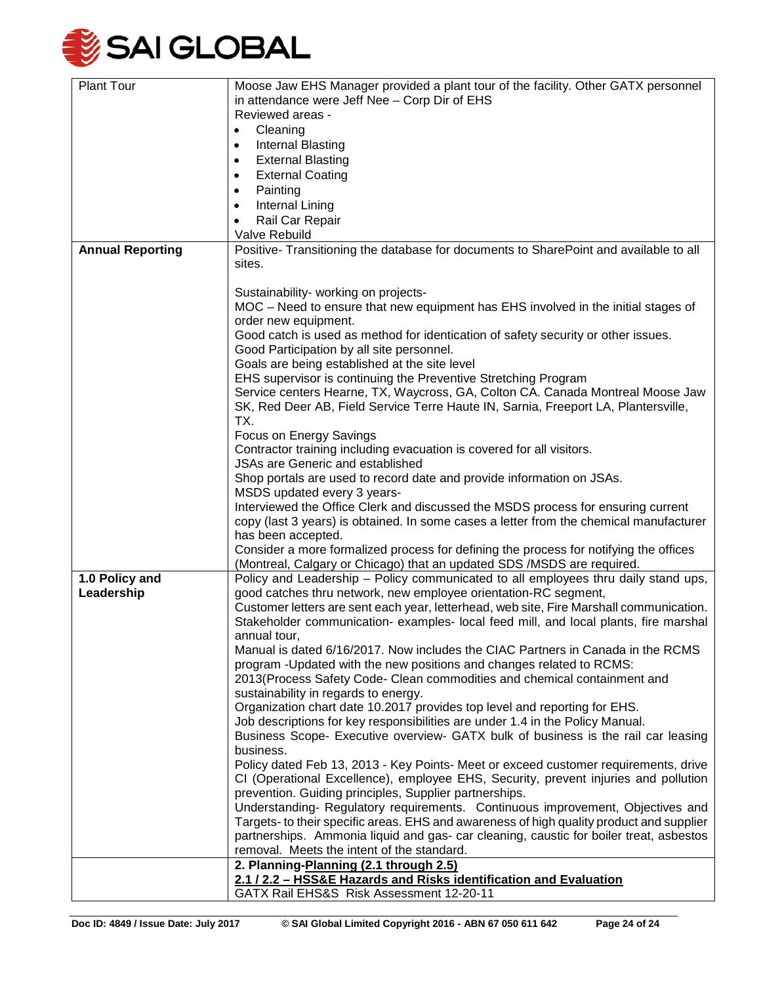

| <b>Plant Tour</b>       | Moose Jaw EHS Manager provided a plant tour of the facility. Other GATX personnel        |
|-------------------------|------------------------------------------------------------------------------------------|
|                         | in attendance were Jeff Nee - Corp Dir of EHS                                            |
|                         | Reviewed areas -                                                                         |
|                         | Cleaning                                                                                 |
|                         | $\bullet$                                                                                |
|                         | Internal Blasting<br>٠                                                                   |
|                         | <b>External Blasting</b><br>$\bullet$                                                    |
|                         | <b>External Coating</b><br>$\bullet$                                                     |
|                         | Painting<br>$\bullet$                                                                    |
|                         | Internal Lining<br>$\bullet$                                                             |
|                         | Rail Car Repair<br>٠                                                                     |
|                         | Valve Rebuild                                                                            |
| <b>Annual Reporting</b> | Positive- Transitioning the database for documents to SharePoint and available to all    |
|                         |                                                                                          |
|                         | sites.                                                                                   |
|                         |                                                                                          |
|                         | Sustainability- working on projects-                                                     |
|                         | MOC – Need to ensure that new equipment has EHS involved in the initial stages of        |
|                         | order new equipment.                                                                     |
|                         | Good catch is used as method for identication of safety security or other issues.        |
|                         | Good Participation by all site personnel.                                                |
|                         | Goals are being established at the site level                                            |
|                         | EHS supervisor is continuing the Preventive Stretching Program                           |
|                         | Service centers Hearne, TX, Waycross, GA, Colton CA. Canada Montreal Moose Jaw           |
|                         | SK, Red Deer AB, Field Service Terre Haute IN, Sarnia, Freeport LA, Plantersville,       |
|                         | TX.                                                                                      |
|                         |                                                                                          |
|                         | Focus on Energy Savings                                                                  |
|                         | Contractor training including evacuation is covered for all visitors.                    |
|                         | <b>JSAs are Generic and established</b>                                                  |
|                         | Shop portals are used to record date and provide information on JSAs.                    |
|                         | MSDS updated every 3 years-                                                              |
|                         | Interviewed the Office Clerk and discussed the MSDS process for ensuring current         |
|                         | copy (last 3 years) is obtained. In some cases a letter from the chemical manufacturer   |
|                         | has been accepted.                                                                       |
|                         | Consider a more formalized process for defining the process for notifying the offices    |
|                         | (Montreal, Calgary or Chicago) that an updated SDS / MSDS are required.                  |
|                         | Policy and Leadership - Policy communicated to all employees thru daily stand ups,       |
| 1.0 Policy and          |                                                                                          |
| Leadership              | good catches thru network, new employee orientation-RC segment,                          |
|                         | Customer letters are sent each year, letterhead, web site, Fire Marshall communication.  |
|                         | Stakeholder communication- examples- local feed mill, and local plants, fire marshal     |
|                         | annual tour,                                                                             |
|                         | Manual is dated 6/16/2017. Now includes the CIAC Partners in Canada in the RCMS          |
|                         | program -Updated with the new positions and changes related to RCMS:                     |
|                         | 2013 (Process Safety Code- Clean commodities and chemical containment and                |
|                         | sustainability in regards to energy.                                                     |
|                         | Organization chart date 10.2017 provides top level and reporting for EHS.                |
|                         | Job descriptions for key responsibilities are under 1.4 in the Policy Manual.            |
|                         | Business Scope- Executive overview- GATX bulk of business is the rail car leasing        |
|                         | business.                                                                                |
|                         | Policy dated Feb 13, 2013 - Key Points- Meet or exceed customer requirements, drive      |
|                         |                                                                                          |
|                         | CI (Operational Excellence), employee EHS, Security, prevent injuries and pollution      |
|                         | prevention. Guiding principles, Supplier partnerships.                                   |
|                         | Understanding-Regulatory requirements. Continuous improvement, Objectives and            |
|                         | Targets- to their specific areas. EHS and awareness of high quality product and supplier |
|                         | partnerships. Ammonia liquid and gas- car cleaning, caustic for boiler treat, asbestos   |
|                         | removal. Meets the intent of the standard.                                               |
|                         | 2. Planning-Planning (2.1 through 2.5)                                                   |
|                         | 2.1 / 2.2 - HSS&E Hazards and Risks identification and Evaluation                        |
|                         | GATX Rail EHS&S Risk Assessment 12-20-11                                                 |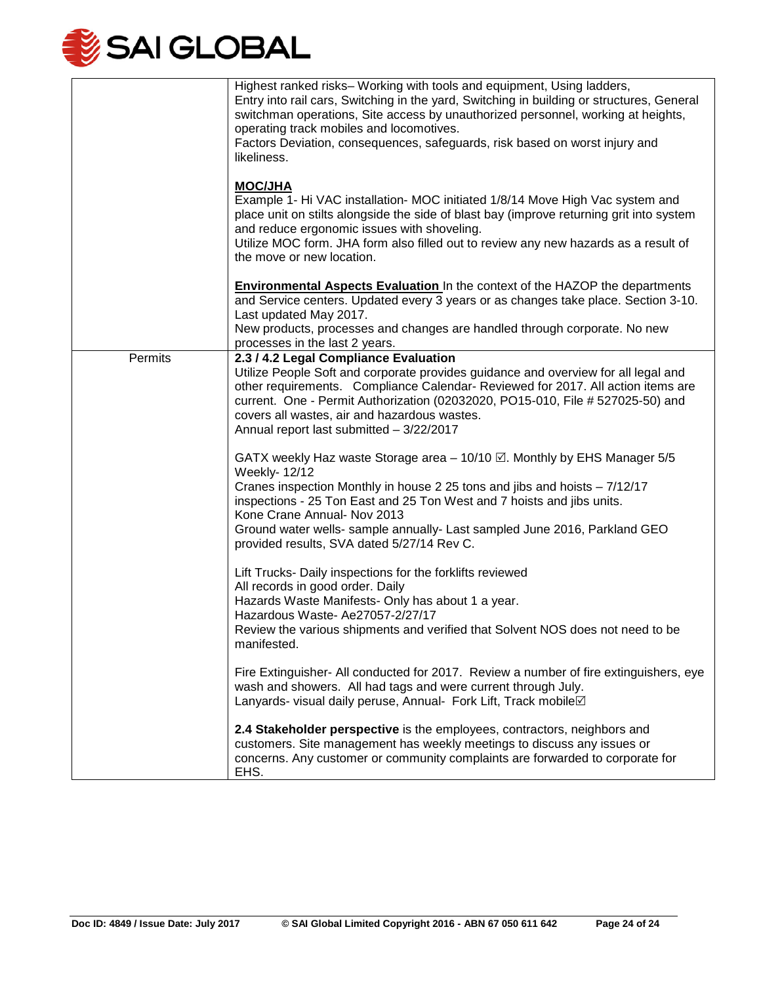

|         | Highest ranked risks– Working with tools and equipment, Using ladders,<br>Entry into rail cars, Switching in the yard, Switching in building or structures, General<br>switchman operations, Site access by unauthorized personnel, working at heights,<br>operating track mobiles and locomotives.<br>Factors Deviation, consequences, safeguards, risk based on worst injury and<br>likeliness.          |
|---------|------------------------------------------------------------------------------------------------------------------------------------------------------------------------------------------------------------------------------------------------------------------------------------------------------------------------------------------------------------------------------------------------------------|
|         | <b>MOC/JHA</b><br>Example 1- Hi VAC installation- MOC initiated 1/8/14 Move High Vac system and<br>place unit on stilts alongside the side of blast bay (improve returning grit into system<br>and reduce ergonomic issues with shoveling.<br>Utilize MOC form. JHA form also filled out to review any new hazards as a result of<br>the move or new location.                                             |
|         | <b>Environmental Aspects Evaluation</b> In the context of the HAZOP the departments<br>and Service centers. Updated every 3 years or as changes take place. Section 3-10.<br>Last updated May 2017.<br>New products, processes and changes are handled through corporate. No new<br>processes in the last 2 years.                                                                                         |
| Permits | 2.3 / 4.2 Legal Compliance Evaluation<br>Utilize People Soft and corporate provides guidance and overview for all legal and<br>other requirements. Compliance Calendar- Reviewed for 2017. All action items are<br>current. One - Permit Authorization (02032020, PO15-010, File # 527025-50) and<br>covers all wastes, air and hazardous wastes.<br>Annual report last submitted - 3/22/2017              |
|         | GATX weekly Haz waste Storage area - 10/10 . Monthly by EHS Manager 5/5<br>Weekly- 12/12<br>Cranes inspection Monthly in house 2 25 tons and jibs and hoists - 7/12/17<br>inspections - 25 Ton East and 25 Ton West and 7 hoists and jibs units.<br>Kone Crane Annual- Nov 2013<br>Ground water wells- sample annually- Last sampled June 2016, Parkland GEO<br>provided results, SVA dated 5/27/14 Rev C. |
|         | Lift Trucks- Daily inspections for the forklifts reviewed<br>All records in good order. Daily<br>Hazards Waste Manifests- Only has about 1 a year.<br>Hazardous Waste- Ae27057-2/27/17<br>Review the various shipments and verified that Solvent NOS does not need to be<br>manifested.                                                                                                                    |
|         | Fire Extinguisher- All conducted for 2017. Review a number of fire extinguishers, eye<br>wash and showers. All had tags and were current through July.<br>Lanyards- visual daily peruse, Annual- Fork Lift, Track mobile⊠                                                                                                                                                                                  |
|         | 2.4 Stakeholder perspective is the employees, contractors, neighbors and<br>customers. Site management has weekly meetings to discuss any issues or<br>concerns. Any customer or community complaints are forwarded to corporate for<br>EHS.                                                                                                                                                               |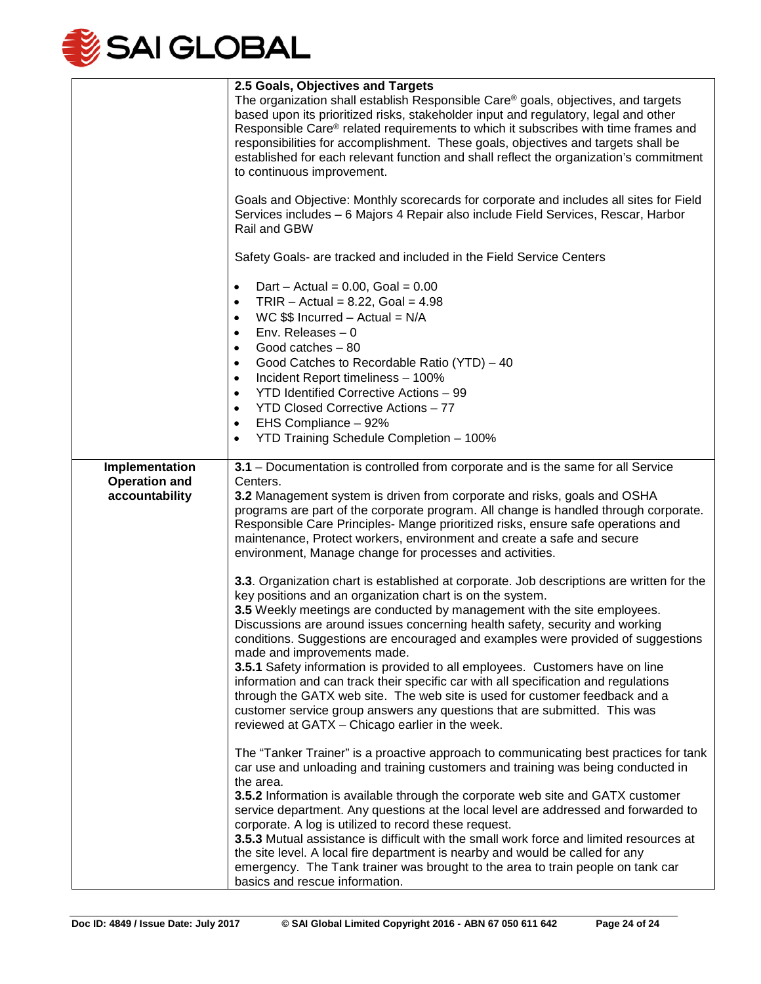

|                                                          | 2.5 Goals, Objectives and Targets<br>The organization shall establish Responsible Care® goals, objectives, and targets<br>based upon its prioritized risks, stakeholder input and regulatory, legal and other<br>Responsible Care® related requirements to which it subscribes with time frames and<br>responsibilities for accomplishment. These goals, objectives and targets shall be<br>established for each relevant function and shall reflect the organization's commitment<br>to continuous improvement.<br>Goals and Objective: Monthly scorecards for corporate and includes all sites for Field<br>Services includes - 6 Majors 4 Repair also include Field Services, Rescar, Harbor<br>Rail and GBW                                                                                                              |
|----------------------------------------------------------|------------------------------------------------------------------------------------------------------------------------------------------------------------------------------------------------------------------------------------------------------------------------------------------------------------------------------------------------------------------------------------------------------------------------------------------------------------------------------------------------------------------------------------------------------------------------------------------------------------------------------------------------------------------------------------------------------------------------------------------------------------------------------------------------------------------------------|
|                                                          | Safety Goals- are tracked and included in the Field Service Centers                                                                                                                                                                                                                                                                                                                                                                                                                                                                                                                                                                                                                                                                                                                                                          |
|                                                          | Dart – Actual = $0.00$ , Goal = $0.00$<br>٠<br>$TRIR - Actual = 8.22$ , Goal = 4.98<br>$\bullet$<br>WC $$$$ Incurred - Actual = N/A<br>$\bullet$<br>Env. Releases $-0$<br>$\bullet$<br>Good catches $-80$<br>٠<br>Good Catches to Recordable Ratio (YTD) - 40<br>٠<br>Incident Report timeliness - 100%<br>$\bullet$<br>YTD Identified Corrective Actions - 99<br>$\bullet$<br><b>YTD Closed Corrective Actions - 77</b><br>$\bullet$<br>EHS Compliance - 92%<br>$\bullet$<br>YTD Training Schedule Completion - 100%<br>$\bullet$                                                                                                                                                                                                                                                                                           |
| Implementation<br><b>Operation and</b><br>accountability | 3.1 - Documentation is controlled from corporate and is the same for all Service<br>Centers.<br>3.2 Management system is driven from corporate and risks, goals and OSHA<br>programs are part of the corporate program. All change is handled through corporate.<br>Responsible Care Principles- Mange prioritized risks, ensure safe operations and<br>maintenance, Protect workers, environment and create a safe and secure<br>environment, Manage change for processes and activities.                                                                                                                                                                                                                                                                                                                                   |
|                                                          | 3.3. Organization chart is established at corporate. Job descriptions are written for the<br>key positions and an organization chart is on the system.<br>3.5 Weekly meetings are conducted by management with the site employees.<br>Discussions are around issues concerning health safety, security and working<br>conditions. Suggestions are encouraged and examples were provided of suggestions<br>made and improvements made.<br>3.5.1 Safety information is provided to all employees. Customers have on line<br>information and can track their specific car with all specification and regulations<br>through the GATX web site. The web site is used for customer feedback and a<br>customer service group answers any questions that are submitted. This was<br>reviewed at GATX - Chicago earlier in the week. |
|                                                          | The "Tanker Trainer" is a proactive approach to communicating best practices for tank<br>car use and unloading and training customers and training was being conducted in<br>the area.<br><b>3.5.2</b> Information is available through the corporate web site and GATX customer<br>service department. Any questions at the local level are addressed and forwarded to<br>corporate. A log is utilized to record these request.<br>3.5.3 Mutual assistance is difficult with the small work force and limited resources at<br>the site level. A local fire department is nearby and would be called for any<br>emergency. The Tank trainer was brought to the area to train people on tank car<br>basics and rescue information.                                                                                            |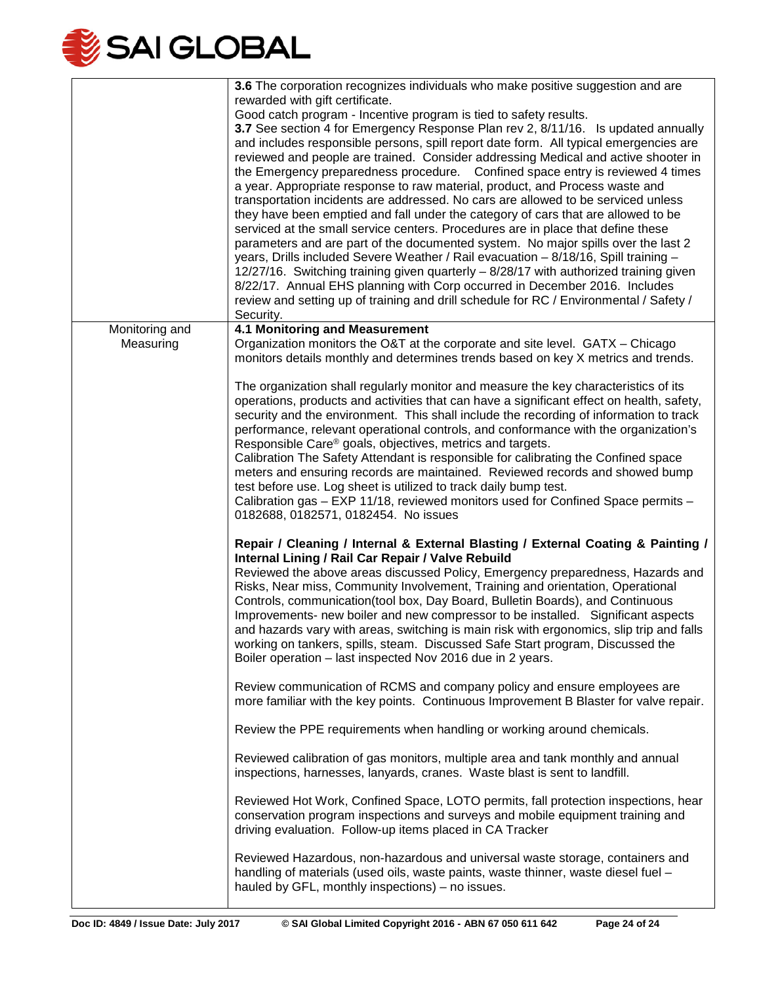

|                | 3.6 The corporation recognizes individuals who make positive suggestion and are                                          |
|----------------|--------------------------------------------------------------------------------------------------------------------------|
|                | rewarded with gift certificate.                                                                                          |
|                | Good catch program - Incentive program is tied to safety results.                                                        |
|                | 3.7 See section 4 for Emergency Response Plan rev 2, 8/11/16. Is updated annually                                        |
|                | and includes responsible persons, spill report date form. All typical emergencies are                                    |
|                | reviewed and people are trained. Consider addressing Medical and active shooter in                                       |
|                | the Emergency preparedness procedure. Confined space entry is reviewed 4 times                                           |
|                |                                                                                                                          |
|                | a year. Appropriate response to raw material, product, and Process waste and                                             |
|                | transportation incidents are addressed. No cars are allowed to be serviced unless                                        |
|                | they have been emptied and fall under the category of cars that are allowed to be                                        |
|                | serviced at the small service centers. Procedures are in place that define these                                         |
|                | parameters and are part of the documented system. No major spills over the last 2                                        |
|                | years, Drills included Severe Weather / Rail evacuation - 8/18/16, Spill training -                                      |
|                | 12/27/16. Switching training given quarterly - 8/28/17 with authorized training given                                    |
|                | 8/22/17. Annual EHS planning with Corp occurred in December 2016. Includes                                               |
|                | review and setting up of training and drill schedule for RC / Environmental / Safety /                                   |
|                | Security.                                                                                                                |
| Monitoring and | <b>4.1 Monitoring and Measurement</b>                                                                                    |
| Measuring      | Organization monitors the O&T at the corporate and site level. GATX – Chicago                                            |
|                | monitors details monthly and determines trends based on key X metrics and trends.                                        |
|                |                                                                                                                          |
|                | The organization shall regularly monitor and measure the key characteristics of its                                      |
|                | operations, products and activities that can have a significant effect on health, safety,                                |
|                | security and the environment. This shall include the recording of information to track                                   |
|                | performance, relevant operational controls, and conformance with the organization's                                      |
|                | Responsible Care <sup>®</sup> goals, objectives, metrics and targets.                                                    |
|                | Calibration The Safety Attendant is responsible for calibrating the Confined space                                       |
|                | meters and ensuring records are maintained. Reviewed records and showed bump                                             |
|                | test before use. Log sheet is utilized to track daily bump test.                                                         |
|                | Calibration gas - EXP 11/18, reviewed monitors used for Confined Space permits -<br>0182688, 0182571, 0182454. No issues |
|                |                                                                                                                          |
|                | Repair / Cleaning / Internal & External Blasting / External Coating & Painting /                                         |
|                | Internal Lining / Rail Car Repair / Valve Rebuild                                                                        |
|                | Reviewed the above areas discussed Policy, Emergency preparedness, Hazards and                                           |
|                | Risks, Near miss, Community Involvement, Training and orientation, Operational                                           |
|                | Controls, communication(tool box, Day Board, Bulletin Boards), and Continuous                                            |
|                | Improvements- new boiler and new compressor to be installed. Significant aspects                                         |
|                | and hazards vary with areas, switching is main risk with ergonomics, slip trip and falls                                 |
|                | working on tankers, spills, steam. Discussed Safe Start program, Discussed the                                           |
|                | Boiler operation - last inspected Nov 2016 due in 2 years.                                                               |
|                |                                                                                                                          |
|                | Review communication of RCMS and company policy and ensure employees are                                                 |
|                | more familiar with the key points. Continuous Improvement B Blaster for valve repair.                                    |
|                |                                                                                                                          |
|                | Review the PPE requirements when handling or working around chemicals.                                                   |
|                | Reviewed calibration of gas monitors, multiple area and tank monthly and annual                                          |
|                | inspections, harnesses, lanyards, cranes. Waste blast is sent to landfill.                                               |
|                |                                                                                                                          |
|                | Reviewed Hot Work, Confined Space, LOTO permits, fall protection inspections, hear                                       |
|                | conservation program inspections and surveys and mobile equipment training and                                           |
|                | driving evaluation. Follow-up items placed in CA Tracker                                                                 |
|                |                                                                                                                          |
|                | Reviewed Hazardous, non-hazardous and universal waste storage, containers and                                            |
|                | handling of materials (used oils, waste paints, waste thinner, waste diesel fuel -                                       |
|                | hauled by GFL, monthly inspections) – no issues.                                                                         |
|                |                                                                                                                          |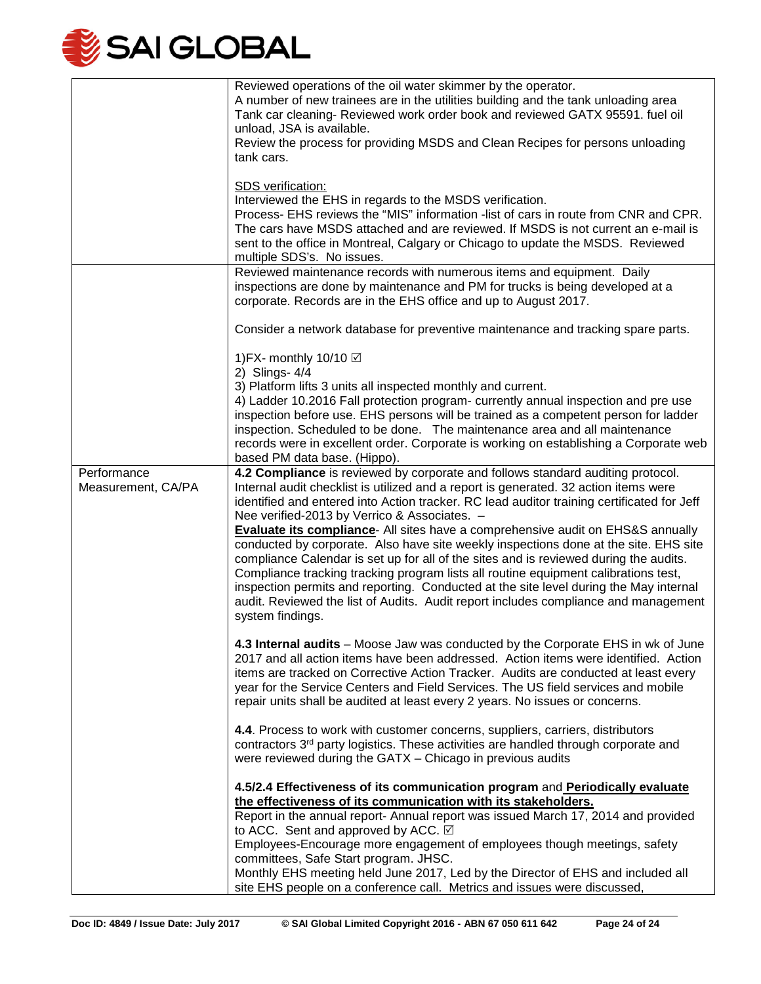

|                                   | Reviewed operations of the oil water skimmer by the operator.<br>A number of new trainees are in the utilities building and the tank unloading area<br>Tank car cleaning- Reviewed work order book and reviewed GATX 95591. fuel oil<br>unload, JSA is available.<br>Review the process for providing MSDS and Clean Recipes for persons unloading<br>tank cars.<br>SDS verification:<br>Interviewed the EHS in regards to the MSDS verification.<br>Process- EHS reviews the "MIS" information -list of cars in route from CNR and CPR.<br>The cars have MSDS attached and are reviewed. If MSDS is not current an e-mail is<br>sent to the office in Montreal, Calgary or Chicago to update the MSDS. Reviewed<br>multiple SDS's. No issues.                                                                                                                                                                                                                                  |
|-----------------------------------|---------------------------------------------------------------------------------------------------------------------------------------------------------------------------------------------------------------------------------------------------------------------------------------------------------------------------------------------------------------------------------------------------------------------------------------------------------------------------------------------------------------------------------------------------------------------------------------------------------------------------------------------------------------------------------------------------------------------------------------------------------------------------------------------------------------------------------------------------------------------------------------------------------------------------------------------------------------------------------|
|                                   | Reviewed maintenance records with numerous items and equipment. Daily<br>inspections are done by maintenance and PM for trucks is being developed at a<br>corporate. Records are in the EHS office and up to August 2017.                                                                                                                                                                                                                                                                                                                                                                                                                                                                                                                                                                                                                                                                                                                                                       |
|                                   | Consider a network database for preventive maintenance and tracking spare parts.                                                                                                                                                                                                                                                                                                                                                                                                                                                                                                                                                                                                                                                                                                                                                                                                                                                                                                |
|                                   | 1) FX- monthly 10/10 Ø<br>2) Slings- 4/4<br>3) Platform lifts 3 units all inspected monthly and current.<br>4) Ladder 10.2016 Fall protection program- currently annual inspection and pre use<br>inspection before use. EHS persons will be trained as a competent person for ladder<br>inspection. Scheduled to be done. The maintenance area and all maintenance<br>records were in excellent order. Corporate is working on establishing a Corporate web<br>based PM data base. (Hippo).                                                                                                                                                                                                                                                                                                                                                                                                                                                                                    |
| Performance<br>Measurement, CA/PA | 4.2 Compliance is reviewed by corporate and follows standard auditing protocol.<br>Internal audit checklist is utilized and a report is generated. 32 action items were<br>identified and entered into Action tracker. RC lead auditor training certificated for Jeff<br>Nee verified-2013 by Verrico & Associates. -<br><b>Evaluate its compliance-</b> All sites have a comprehensive audit on EHS&S annually<br>conducted by corporate. Also have site weekly inspections done at the site. EHS site<br>compliance Calendar is set up for all of the sites and is reviewed during the audits.<br>Compliance tracking tracking program lists all routine equipment calibrations test,<br>inspection permits and reporting. Conducted at the site level during the May internal<br>audit. Reviewed the list of Audits. Audit report includes compliance and management<br>system findings.<br>4.3 Internal audits - Moose Jaw was conducted by the Corporate EHS in wk of June |
|                                   | 2017 and all action items have been addressed. Action items were identified. Action<br>items are tracked on Corrective Action Tracker. Audits are conducted at least every<br>year for the Service Centers and Field Services. The US field services and mobile<br>repair units shall be audited at least every 2 years. No issues or concerns.                                                                                                                                                                                                                                                                                                                                                                                                                                                                                                                                                                                                                                 |
|                                   | 4.4. Process to work with customer concerns, suppliers, carriers, distributors<br>contractors 3 <sup>rd</sup> party logistics. These activities are handled through corporate and<br>were reviewed during the GATX - Chicago in previous audits                                                                                                                                                                                                                                                                                                                                                                                                                                                                                                                                                                                                                                                                                                                                 |
|                                   | 4.5/2.4 Effectiveness of its communication program and Periodically evaluate<br>the effectiveness of its communication with its stakeholders.<br>Report in the annual report- Annual report was issued March 17, 2014 and provided<br>to ACC. Sent and approved by ACC. ☑<br>Employees-Encourage more engagement of employees though meetings, safety                                                                                                                                                                                                                                                                                                                                                                                                                                                                                                                                                                                                                           |
|                                   | committees, Safe Start program. JHSC.<br>Monthly EHS meeting held June 2017, Led by the Director of EHS and included all<br>site EHS people on a conference call. Metrics and issues were discussed,                                                                                                                                                                                                                                                                                                                                                                                                                                                                                                                                                                                                                                                                                                                                                                            |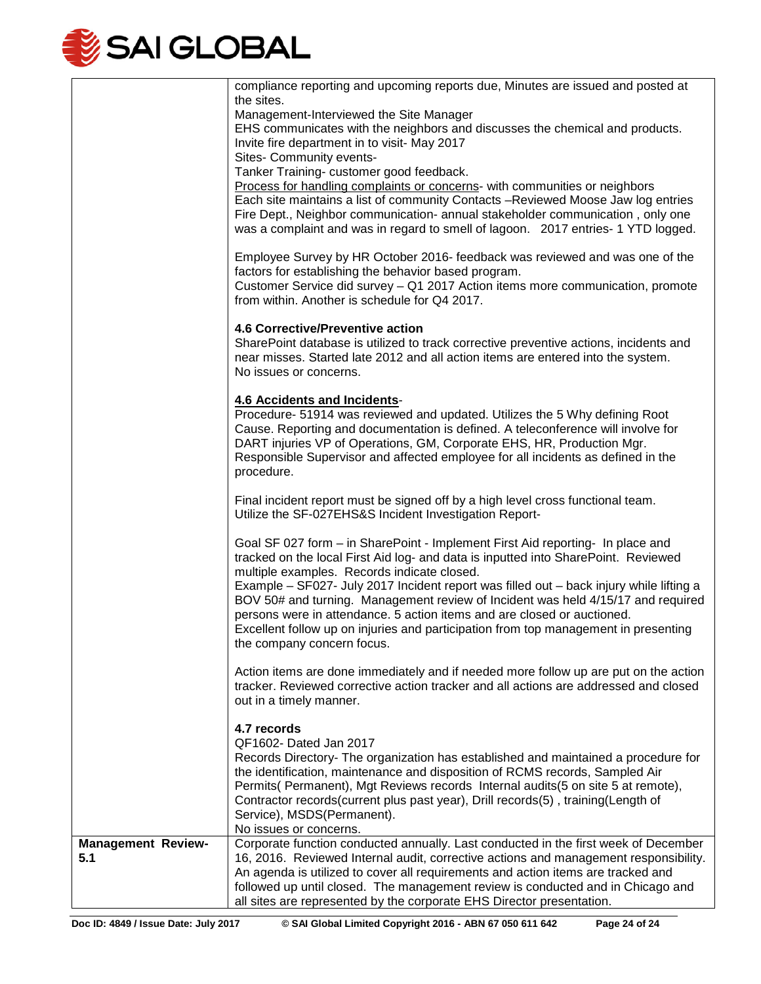

|                           | compliance reporting and upcoming reports due, Minutes are issued and posted at                                                                                             |
|---------------------------|-----------------------------------------------------------------------------------------------------------------------------------------------------------------------------|
|                           | the sites.<br>Management-Interviewed the Site Manager                                                                                                                       |
|                           | EHS communicates with the neighbors and discusses the chemical and products.                                                                                                |
|                           | Invite fire department in to visit- May 2017                                                                                                                                |
|                           | Sites- Community events-                                                                                                                                                    |
|                           | Tanker Training- customer good feedback.                                                                                                                                    |
|                           | Process for handling complaints or concerns- with communities or neighbors                                                                                                  |
|                           | Each site maintains a list of community Contacts -Reviewed Moose Jaw log entries                                                                                            |
|                           | Fire Dept., Neighbor communication- annual stakeholder communication, only one                                                                                              |
|                           | was a complaint and was in regard to smell of lagoon. 2017 entries- 1 YTD logged.                                                                                           |
|                           | Employee Survey by HR October 2016- feedback was reviewed and was one of the                                                                                                |
|                           | factors for establishing the behavior based program.                                                                                                                        |
|                           | Customer Service did survey - Q1 2017 Action items more communication, promote                                                                                              |
|                           | from within. Another is schedule for Q4 2017.                                                                                                                               |
|                           | 4.6 Corrective/Preventive action                                                                                                                                            |
|                           | SharePoint database is utilized to track corrective preventive actions, incidents and                                                                                       |
|                           | near misses. Started late 2012 and all action items are entered into the system.                                                                                            |
|                           | No issues or concerns.                                                                                                                                                      |
|                           | <b>4.6 Accidents and Incidents-</b>                                                                                                                                         |
|                           | Procedure- 51914 was reviewed and updated. Utilizes the 5 Why defining Root                                                                                                 |
|                           | Cause. Reporting and documentation is defined. A teleconference will involve for                                                                                            |
|                           | DART injuries VP of Operations, GM, Corporate EHS, HR, Production Mgr.                                                                                                      |
|                           | Responsible Supervisor and affected employee for all incidents as defined in the                                                                                            |
|                           | procedure.                                                                                                                                                                  |
|                           | Final incident report must be signed off by a high level cross functional team.                                                                                             |
|                           | Utilize the SF-027EHS&S Incident Investigation Report-                                                                                                                      |
|                           |                                                                                                                                                                             |
|                           | Goal SF 027 form - in SharePoint - Implement First Aid reporting- In place and                                                                                              |
|                           | tracked on the local First Aid log- and data is inputted into SharePoint. Reviewed                                                                                          |
|                           | multiple examples. Records indicate closed.                                                                                                                                 |
|                           | Example - SF027- July 2017 Incident report was filled out - back injury while lifting a<br>BOV 50# and turning. Management review of Incident was held 4/15/17 and required |
|                           | persons were in attendance. 5 action items and are closed or auctioned.                                                                                                     |
|                           | Excellent follow up on injuries and participation from top management in presenting                                                                                         |
|                           | the company concern focus.                                                                                                                                                  |
|                           | Action items are done immediately and if needed more follow up are put on the action                                                                                        |
|                           | tracker. Reviewed corrective action tracker and all actions are addressed and closed                                                                                        |
|                           | out in a timely manner.                                                                                                                                                     |
|                           | 4.7 records                                                                                                                                                                 |
|                           | QF1602- Dated Jan 2017                                                                                                                                                      |
|                           | Records Directory- The organization has established and maintained a procedure for                                                                                          |
|                           | the identification, maintenance and disposition of RCMS records, Sampled Air                                                                                                |
|                           | Permits( Permanent), Mgt Reviews records Internal audits(5 on site 5 at remote),                                                                                            |
|                           | Contractor records(current plus past year), Drill records(5), training(Length of                                                                                            |
|                           | Service), MSDS(Permanent).                                                                                                                                                  |
|                           | No issues or concerns.                                                                                                                                                      |
| <b>Management Review-</b> | Corporate function conducted annually. Last conducted in the first week of December                                                                                         |
| 5.1                       | 16, 2016. Reviewed Internal audit, corrective actions and management responsibility.                                                                                        |
|                           | An agenda is utilized to cover all requirements and action items are tracked and                                                                                            |
|                           | followed up until closed. The management review is conducted and in Chicago and                                                                                             |
|                           | all sites are represented by the corporate EHS Director presentation.                                                                                                       |